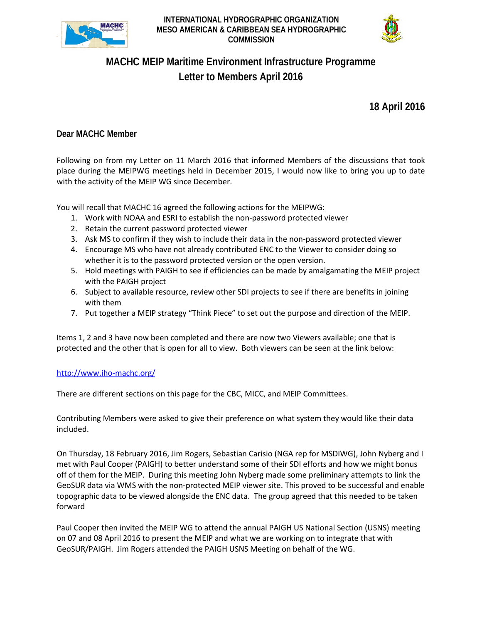



## **MACHC MEIP Maritime Environment Infrastructure Programme Letter to Members April 2016**

**18 April 2016**

## **Dear MACHC Member**

Following on from my Letter on 11 March 2016 that informed Members of the discussions that took place during the MEIPWG meetings held in December 2015, I would now like to bring you up to date with the activity of the MEIP WG since December.

You will recall that MACHC 16 agreed the following actions for the MEIPWG:

- 1. Work with NOAA and ESRI to establish the non-password protected viewer
- 2. Retain the current password protected viewer
- 3. Ask MS to confirm if they wish to include their data in the non-password protected viewer
- 4. Encourage MS who have not already contributed ENC to the Viewer to consider doing so whether it is to the password protected version or the open version.
- 5. Hold meetings with PAIGH to see if efficiencies can be made by amalgamating the MEIP project with the PAIGH project
- 6. Subject to available resource, review other SDI projects to see if there are benefits in joining with them
- 7. Put together a MEIP strategy "Think Piece" to set out the purpose and direction of the MEIP.

Items 1, 2 and 3 have now been completed and there are now two Viewers available; one that is protected and the other that is open for all to view. Both viewers can be seen at the link below:

## <http://www.iho-machc.org/>

There are different sections on this page for the CBC, MICC, and MEIP Committees.

Contributing Members were asked to give their preference on what system they would like their data included.

On Thursday, 18 February 2016, Jim Rogers, Sebastian Carisio (NGA rep for MSDIWG), John Nyberg and I met with Paul Cooper (PAIGH) to better understand some of their SDI efforts and how we might bonus off of them for the MEIP. During this meeting John Nyberg made some preliminary attempts to link the GeoSUR data via WMS with the non-protected MEIP viewer site. This proved to be successful and enable topographic data to be viewed alongside the ENC data. The group agreed that this needed to be taken forward

Paul Cooper then invited the MEIP WG to attend the annual PAIGH US National Section (USNS) meeting on 07 and 08 April 2016 to present the MEIP and what we are working on to integrate that with GeoSUR/PAIGH. Jim Rogers attended the PAIGH USNS Meeting on behalf of the WG.